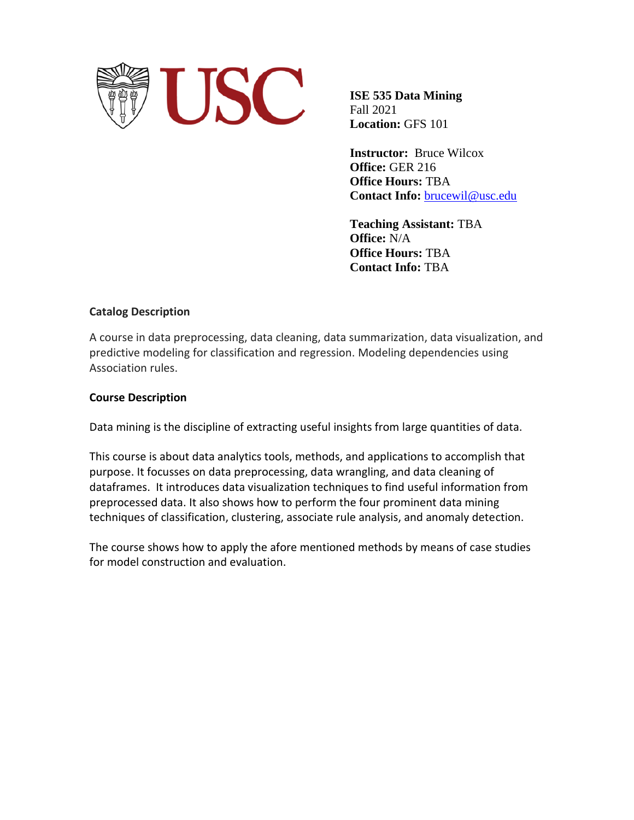

**ISE 535 Data Mining** Fall 2021 **Location:** GFS 101

**Instructor:** Bruce Wilcox **Office:** GER 216 **Office Hours:** TBA **Contact Info:** [brucewil@usc.edu](mailto:brucewil@usc.edu)

**Teaching Assistant:** TBA **Office:** N/A **Office Hours:** TBA **Contact Info:** TBA

### **Catalog Description**

A course in data preprocessing, data cleaning, data summarization, data visualization, and predictive modeling for classification and regression. Modeling dependencies using Association rules.

### **Course Description**

Data mining is the discipline of extracting useful insights from large quantities of data.

This course is about data analytics tools, methods, and applications to accomplish that purpose. It focusses on data preprocessing, data wrangling, and data cleaning of dataframes. It introduces data visualization techniques to find useful information from preprocessed data. It also shows how to perform the four prominent data mining techniques of classification, clustering, associate rule analysis, and anomaly detection.

The course shows how to apply the afore mentioned methods by means of case studies for model construction and evaluation.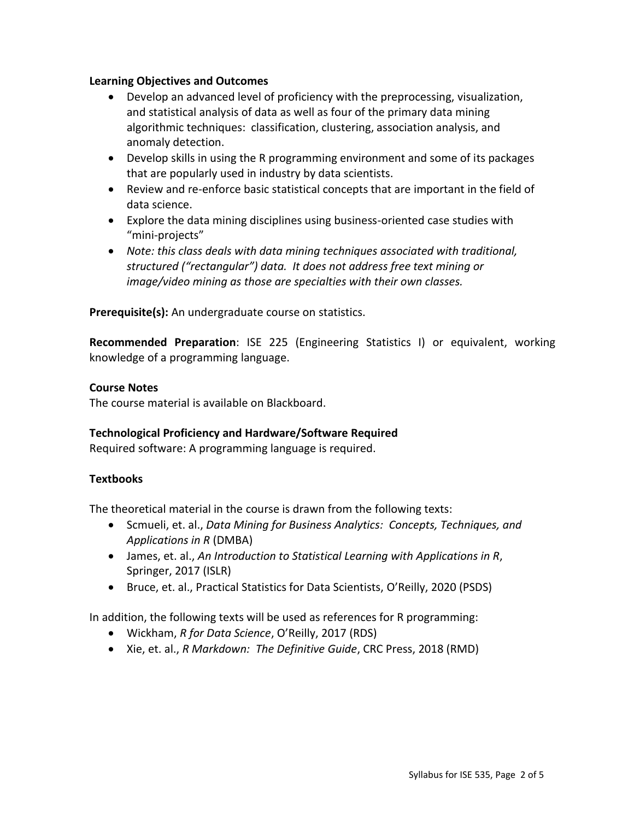### **Learning Objectives and Outcomes**

- Develop an advanced level of proficiency with the preprocessing, visualization, and statistical analysis of data as well as four of the primary data mining algorithmic techniques: classification, clustering, association analysis, and anomaly detection.
- Develop skills in using the R programming environment and some of its packages that are popularly used in industry by data scientists.
- Review and re-enforce basic statistical concepts that are important in the field of data science.
- Explore the data mining disciplines using business-oriented case studies with "mini-projects"
- *Note: this class deals with data mining techniques associated with traditional, structured ("rectangular") data. It does not address free text mining or image/video mining as those are specialties with their own classes.*

**Prerequisite(s):** An undergraduate course on statistics.

**Recommended Preparation**: [ISE 225](http://classes.usc.edu/term-20151/course/ise-225/) (Engineering Statistics I) or equivalent, working knowledge of a programming language.

## **Course Notes**

The course material is available on Blackboard.

## **Technological Proficiency and Hardware/Software Required**

Required software: A programming language is required.

## **Textbooks**

The theoretical material in the course is drawn from the following texts:

- Scmueli, et. al., *Data Mining for Business Analytics: Concepts, Techniques, and Applications in R* (DMBA)
- James, et. al., *An Introduction to Statistical Learning with Applications in R*, Springer, 2017 (ISLR)
- Bruce, et. al., Practical Statistics for Data Scientists, O'Reilly, 2020 (PSDS)

In addition, the following texts will be used as references for R programming:

- Wickham, *R for Data Science*, O'Reilly, 2017 (RDS)
- Xie, et. al., *R Markdown: The Definitive Guide*, CRC Press, 2018 (RMD)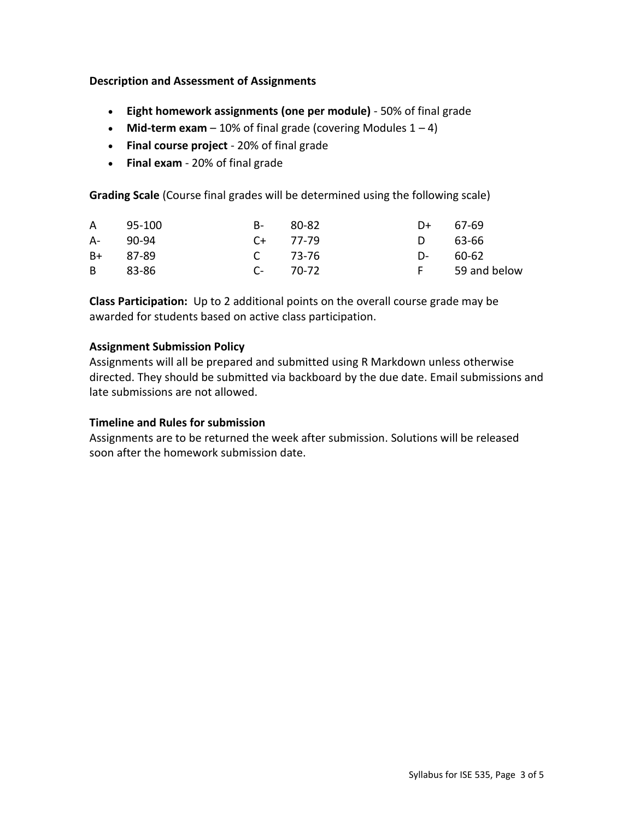## **Description and Assessment of Assignments**

- **Eight homework assignments (one per module)** 50% of final grade
- **Mid-term exam**  $-10\%$  of final grade (covering Modules  $1 4$ )
- **Final course project** 20% of final grade
- **Final exam**  20% of final grade

**Grading Scale** (Course final grades will be determined using the following scale)

|          | A 95-100 | B- 80-82      | $D+ 67-69$ |                |
|----------|----------|---------------|------------|----------------|
| A- 90-94 |          | $C_{+}$ 77-79 | D 63-66    |                |
| B+ 87-89 |          | C 73-76       | D- 60-62   |                |
| B 83-86  |          | $C-70-72$     |            | F 59 and below |

**Class Participation:** Up to 2 additional points on the overall course grade may be awarded for students based on active class participation.

## **Assignment Submission Policy**

Assignments will all be prepared and submitted using R Markdown unless otherwise directed. They should be submitted via backboard by the due date. Email submissions and late submissions are not allowed.

## **Timeline and Rules for submission**

Assignments are to be returned the week after submission. Solutions will be released soon after the homework submission date.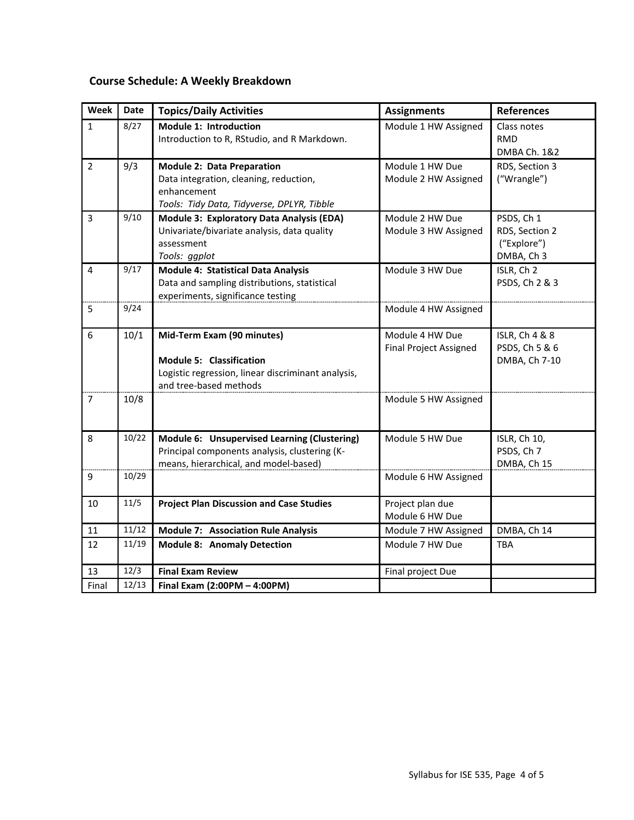# **Course Schedule: A Weekly Breakdown**

| Week           | <b>Date</b> | <b>Topics/Daily Activities</b>                                                                                                                | <b>Assignments</b>                               | <b>References</b>                                            |
|----------------|-------------|-----------------------------------------------------------------------------------------------------------------------------------------------|--------------------------------------------------|--------------------------------------------------------------|
| $\mathbf{1}$   | 8/27        | Module 1: Introduction<br>Introduction to R, RStudio, and R Markdown.                                                                         | Module 1 HW Assigned                             | Class notes<br><b>RMD</b><br>DMBA Ch. 1&2                    |
| $\overline{2}$ | 9/3         | <b>Module 2: Data Preparation</b><br>Data integration, cleaning, reduction,<br>enhancement<br>Tools: Tidy Data, Tidyverse, DPLYR, Tibble      | Module 1 HW Due<br>Module 2 HW Assigned          | RDS, Section 3<br>("Wrangle")                                |
| 3              | 9/10        | Module 3: Exploratory Data Analysis (EDA)<br>Univariate/bivariate analysis, data quality<br>assessment<br>Tools: ggplot                       | Module 2 HW Due<br>Module 3 HW Assigned          | PSDS, Ch 1<br>RDS, Section 2<br>("Explore")<br>DMBA, Ch 3    |
| 4              | 9/17        | <b>Module 4: Statistical Data Analysis</b><br>Data and sampling distributions, statistical<br>experiments, significance testing               | Module 3 HW Due                                  | ISLR, Ch 2<br>PSDS, Ch 2 & 3                                 |
| 5              | 9/24        |                                                                                                                                               | Module 4 HW Assigned                             |                                                              |
| 6              | 10/1        | Mid-Term Exam (90 minutes)<br><b>Module 5: Classification</b><br>Logistic regression, linear discriminant analysis,<br>and tree-based methods | Module 4 HW Due<br><b>Final Project Assigned</b> | <b>ISLR, Ch 4 &amp; 8</b><br>PSDS, Ch 5 & 6<br>DMBA, Ch 7-10 |
| $\overline{7}$ | 10/8        |                                                                                                                                               | Module 5 HW Assigned                             |                                                              |
| 8              | 10/22       | Module 6: Unsupervised Learning (Clustering)<br>Principal components analysis, clustering (K-<br>means, hierarchical, and model-based)        | Module 5 HW Due                                  | ISLR, Ch 10,<br>PSDS, Ch 7<br>DMBA, Ch 15                    |
| 9              | 10/29       |                                                                                                                                               | Module 6 HW Assigned                             |                                                              |
| 10             | 11/5        | <b>Project Plan Discussion and Case Studies</b>                                                                                               | Project plan due<br>Module 6 HW Due              |                                                              |
| 11             | 11/12       | <b>Module 7: Association Rule Analysis</b>                                                                                                    | Module 7 HW Assigned                             | DMBA, Ch 14                                                  |
| 12             | 11/19       | <b>Module 8: Anomaly Detection</b>                                                                                                            | Module 7 HW Due                                  | <b>TBA</b>                                                   |
| 13             | 12/3        | <b>Final Exam Review</b>                                                                                                                      | Final project Due                                |                                                              |
| Final          | 12/13       | Final Exam (2:00PM - 4:00PM)                                                                                                                  |                                                  |                                                              |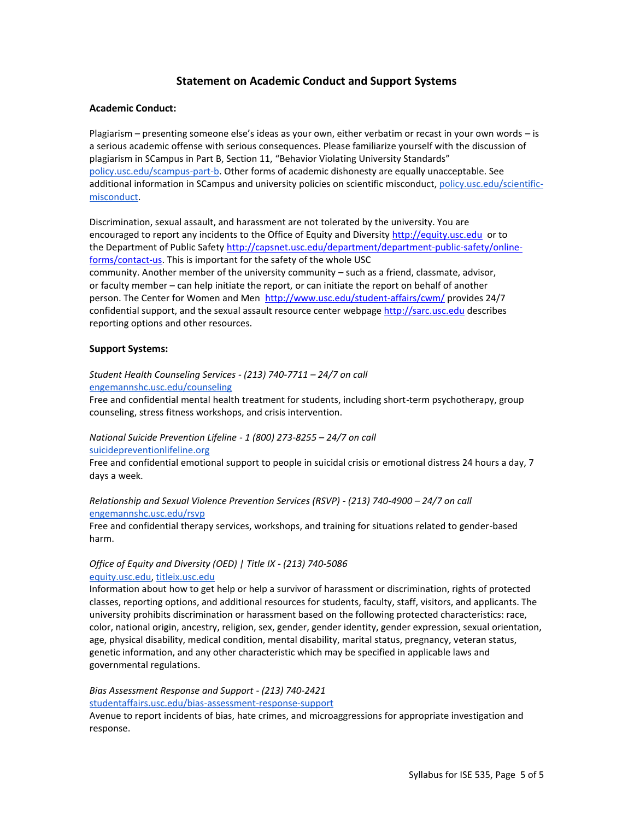### **Statement on Academic Conduct and Support Systems**

#### **Academic Conduct:**

Plagiarism – presenting someone else's ideas as your own, either verbatim or recast in your own words – is a serious academic offense with serious consequences. Please familiarize yourself with the discussion of plagiarism in SCampus in Part B, Section 11, "Behavior Violating University Standards" [policy.usc.edu/scampus-part-b.](https://policy.usc.edu/scampus-part-b/) Other forms of academic dishonesty are equally unacceptable. See additional information in SCampus and university policies on scientific misconduct[, policy.usc.edu/scientific](http://policy.usc.edu/scientific-misconduct)[misconduct.](http://policy.usc.edu/scientific-misconduct)

Discrimination, sexual assault, and harassment are not tolerated by the university. You are encouraged to report any incidents to the Office of Equity and Diversit[y http://equity.usc.edu](http://equity.usc.edu/) or to the Department of Public Safety [http://capsnet.usc.edu/department/department-public-safety/online](http://capsnet.usc.edu/department/department-public-safety/online-forms/contact-us)[forms/contact-us.](http://capsnet.usc.edu/department/department-public-safety/online-forms/contact-us) This is important for the safety of the whole USC community. Another member of the university community – such as a friend, classmate, advisor, or faculty member – can help initiate the report, or can initiate the report on behalf of another person. The Center for Women and Men <http://www.usc.edu/student-affairs/cwm/> provides 24/7 confidential support, and the sexual assault resource center webpage [http://sarc.usc.edu](http://sarc.usc.edu/) describes reporting options and other resources.

#### **Support Systems:**

#### *Student Health Counseling Services - (213) 740-7711 – 24/7 on call* [engemannshc.usc.edu/counseling](https://engemannshc.usc.edu/counseling/)

Free and confidential mental health treatment for students, including short-term psychotherapy, group counseling, stress fitness workshops, and crisis intervention.

#### *National Suicide Prevention Lifeline - 1 (800) 273-8255 – 24/7 on call* [suicidepreventionlifeline.org](http://www.suicidepreventionlifeline.org/)

Free and confidential emotional support to people in suicidal crisis or emotional distress 24 hours a day, 7 [da](http://www.suicidepreventionlifeline.org/)ys a week.

#### *Relationship and Sexual Violence Prevention Services (RSVP) - (213) 740-4900 – 24/7 on call* [engemannshc.usc.edu/rsvp](https://engemannshc.usc.edu/rsvp/)

Free and confidential therapy services, workshops, and training for situations related to gender-based harm[.](https://engemannshc.usc.edu/rsvp/)

#### *Office of Equity and Diversity (OED) | Title IX - (213) 740-5086* [equity.usc.edu,](https://equity.usc.edu/) [titleix.usc.edu](http://titleix.usc.edu/)

Information about how to get help or help a survivor of harassment or discrimination, rights of protected classes, reporting options, and additional resources for students, faculty, staff, visitors, and applicants. The university prohibits discrimination or harassment based on the following protected characteristics: race, color, national origin, ancestry, religion, sex, gender, gender identity, gender expression, sexual orientation, age, physical disability, medical condition, mental disability, marital status, pregnancy, veteran status, genetic information, and any other characteristic which may be specified in applicable laws and governmental regulation[s.](http://sarc.usc.edu/)

*Bias Assessment Response and Support - (213) 740-2421* [studentaffairs.usc.edu/bias-assessment-response-support](https://studentaffairs.usc.edu/bias-assessment-response-support/)

Avenue to report incidents of bias, hate crimes, and microaggressions for appropriate investigation and response[.](https://studentaffairs.usc.edu/bias-assessment-response-support/)